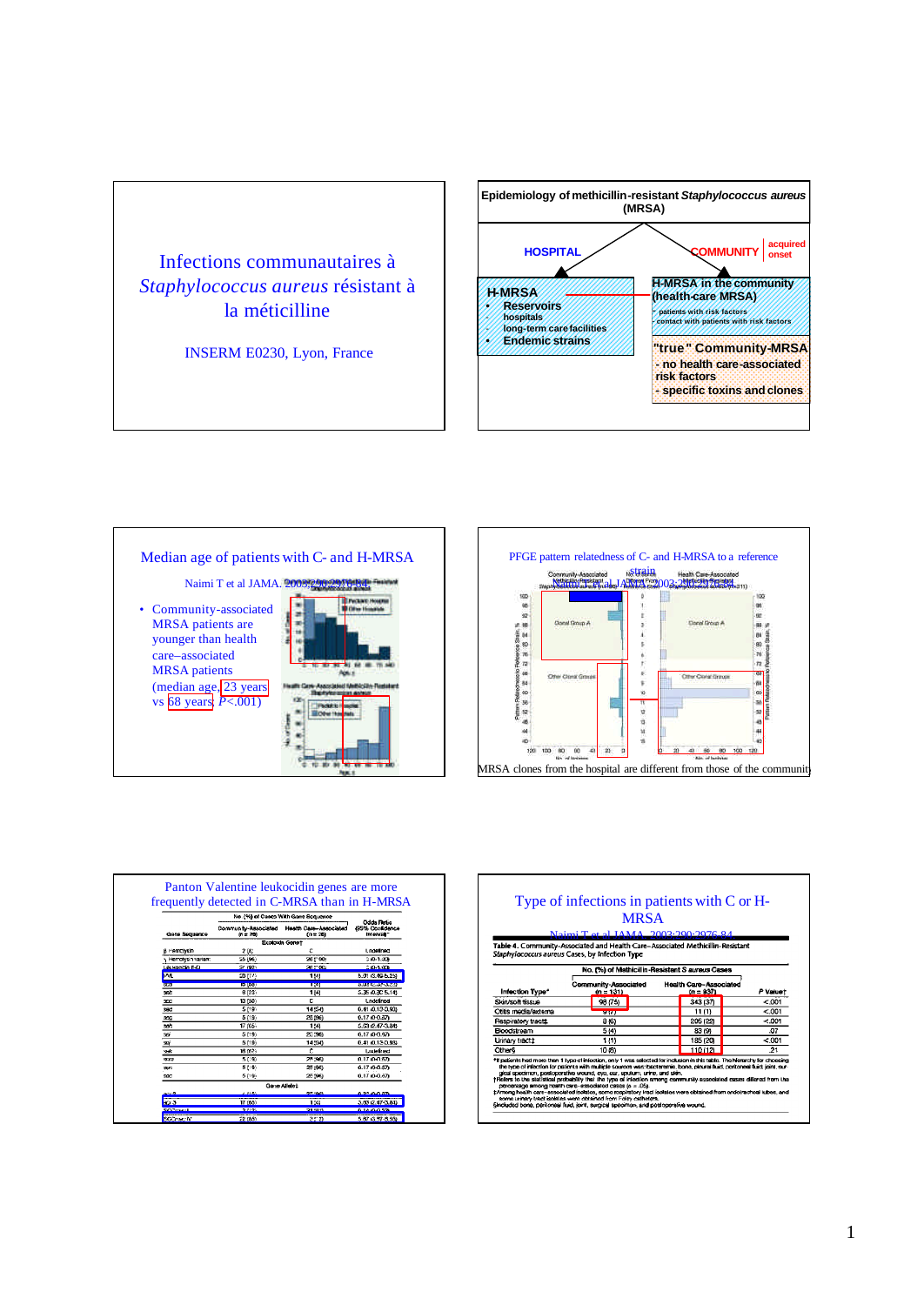





| frequently detected in C-MRSA than in H-MRSA<br>No. (%) of Cases With Gone Sequence |                                    |                                             |                                             |  |  |  |
|-------------------------------------------------------------------------------------|------------------------------------|---------------------------------------------|---------------------------------------------|--|--|--|
| Gene Soquence                                                                       | Community-Associated<br>$in = 200$ | <b>Health Care-Associated</b><br>$(n = 26)$ | Odds Ratio<br>495% Confidence<br>Intervall* |  |  |  |
|                                                                                     |                                    | Exotoxin Genet                              |                                             |  |  |  |
| B Hemchsin                                                                          | 2[6]                               | ċ                                           | Lodelined                                   |  |  |  |
| , Hemolysh variant                                                                  | 25 (96)                            | 26 t° 00:                                   | 210-1.00                                    |  |  |  |
| Le vocido E-O                                                                       | 24.1921                            | $24 - 00$                                   | 210-1-004                                   |  |  |  |
| þм.                                                                                 | 20(77)                             | 114                                         | 5.01 (3.40-5.25)                            |  |  |  |
| <b>Kent</b>                                                                         | 15 [08]                            | 1741                                        | <b>BRESTORY SPARES</b>                      |  |  |  |
| seb                                                                                 | 6 [23]                             | 114                                         | 5.35 (0.30 5.14)                            |  |  |  |
| 300                                                                                 | 13 (50)                            | c                                           | <b>Lndelined</b>                            |  |  |  |
| sad                                                                                 | 5 [19]                             | 14541                                       | 0.41 0.13-0.93                              |  |  |  |
| 300                                                                                 | 5 (19)                             | 25,596)                                     | 0.17 (0-0.37)                               |  |  |  |
| se's                                                                                | 17.05%                             | 1:4)                                        | 5.53 (2.47-3.84)                            |  |  |  |
| SS.                                                                                 | 5 [19]                             | 25:36)                                      | $0.17(0 - 0.97)$                            |  |  |  |
| 99                                                                                  | 519                                | 14:54)                                      | 0.41 (0.13-0.93)                            |  |  |  |
| wk.                                                                                 | 16 (62)                            | c                                           | Luxtelined                                  |  |  |  |
| 55370                                                                               | 5 (19)                             | 25,960                                      | 0.17, 0.057                                 |  |  |  |
| SH <sub>3</sub>                                                                     | 5 [19]                             | 25:561                                      | 0.17 / 0-0.37                               |  |  |  |
| 590                                                                                 | 5 (19)                             | 25,96)                                      | 0.1710-0.57                                 |  |  |  |
|                                                                                     |                                    | Gene Allelet                                |                                             |  |  |  |
| منب                                                                                 | <b>CERAL</b>                       | <b>GRUPO 15</b>                             | <b>AMAADA</b>                               |  |  |  |
| as a                                                                                | 17 (65)                            | 1:41                                        | 3.83 (2.47-3.84)                            |  |  |  |
|                                                                                     | 5.8500                             | <b>Dr. 4941</b>                             | 614-0053                                    |  |  |  |
| SCOTTLE IV                                                                          | 22 (AS)                            | 352                                         | 5.87 6.97-3.50                              |  |  |  |

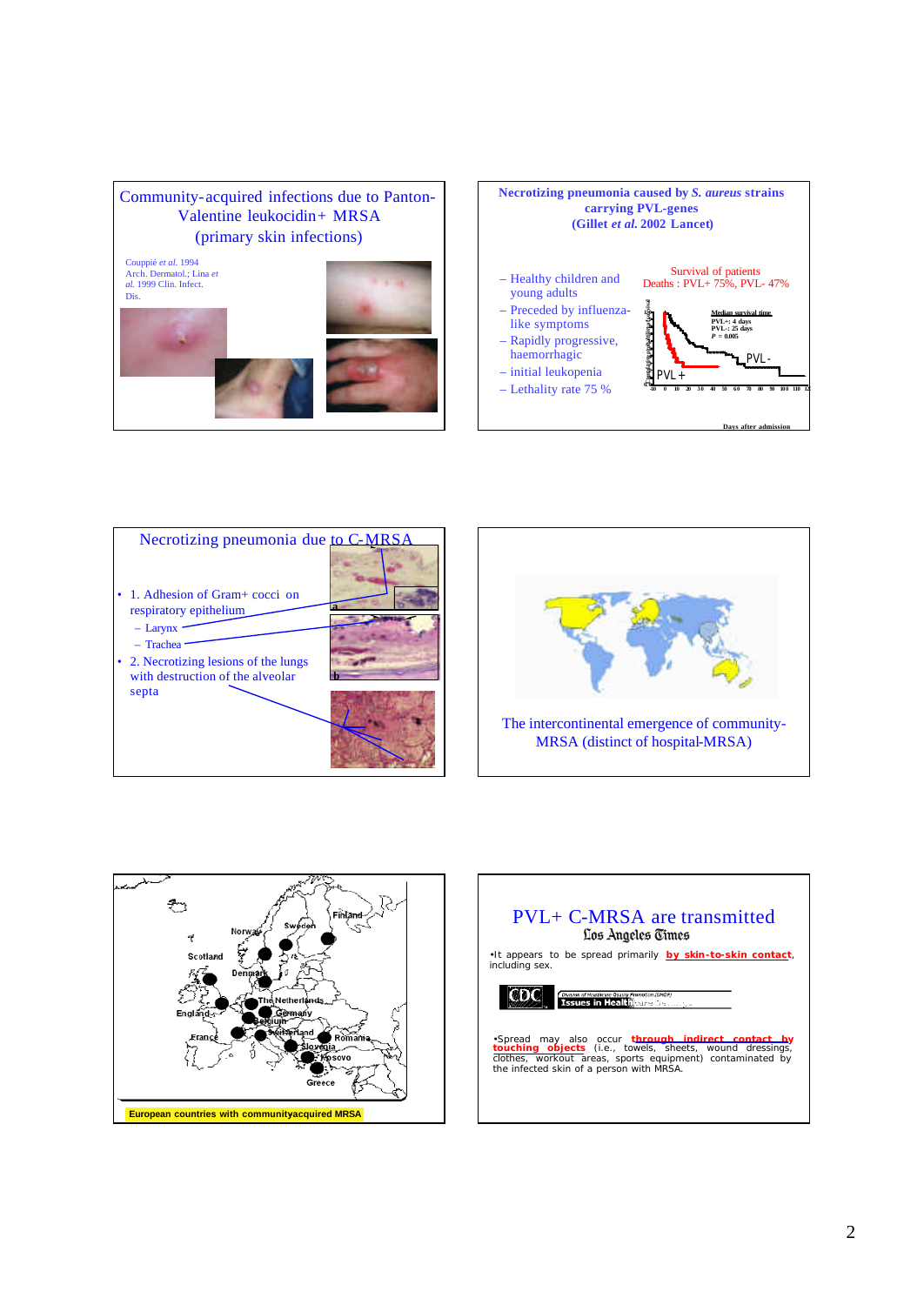









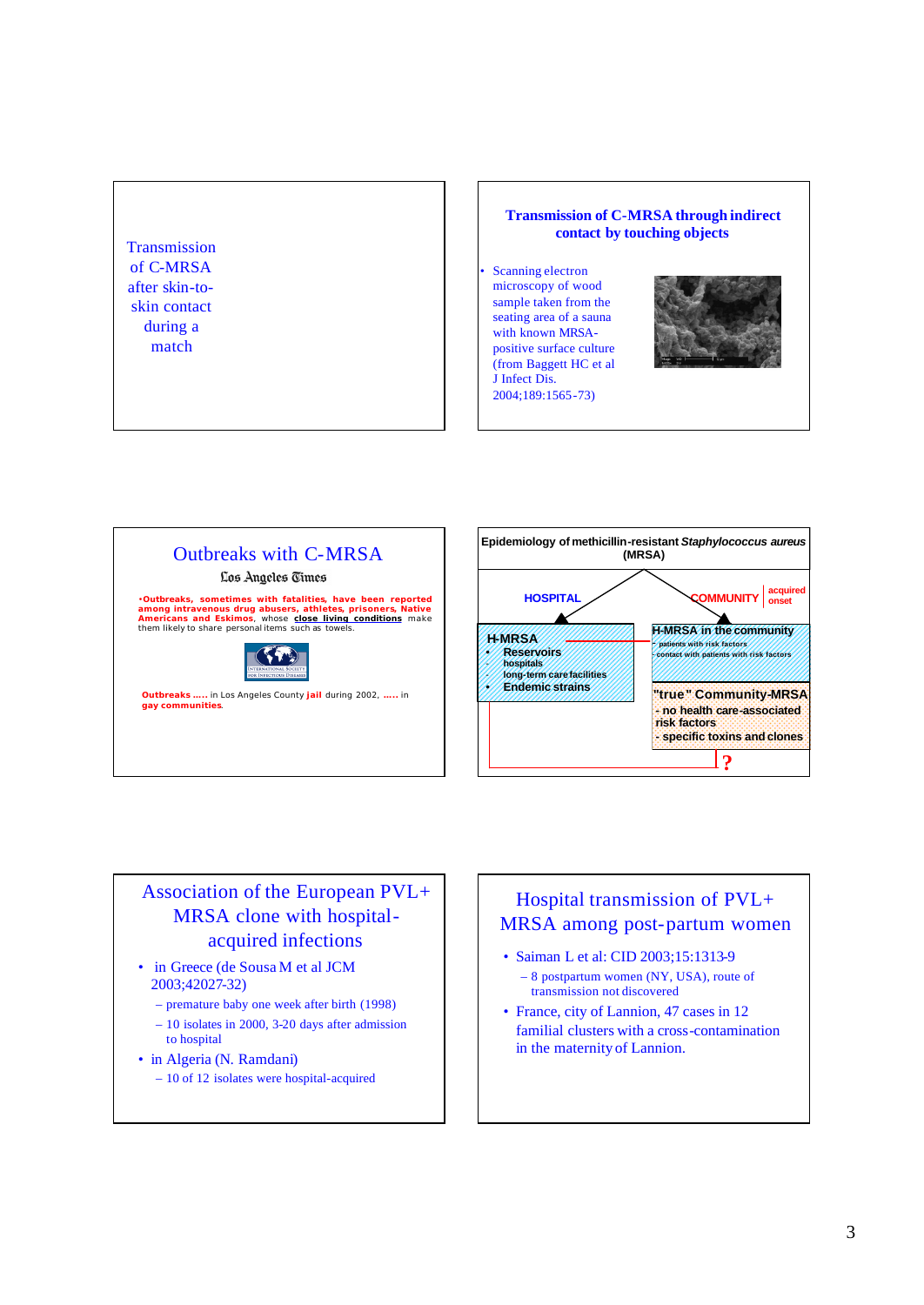### **Transmission** of C-MRSA after skin-toskin contact during a match

#### **Transmission of C-MRSA through indirect contact by touching objects**

Scanning electron microscopy of wood sample taken from the seating area of a sauna with known MRSApositive surface culture (from Baggett HC et al J Infect Dis. 2004;189:1565-73)







## Association of the European PVL+ MRSA clone with hospitalacquired infections

- in Greece (de Sousa M et al JCM 2003;42027-32)
	- premature baby one week after birth (1998)
	- 10 isolates in 2000, 3-20 days after admission to hospital
- in Algeria (N. Ramdani)
	- 10 of 12 isolates were hospital-acquired

## Hospital transmission of PVL+ MRSA among post-partum women

- Saiman L et al: CID 2003;15:1313-9 – 8 postpartum women (NY, USA), route of transmission not discovered
- France, city of Lannion, 47 cases in 12 familial clusters with a cross-contamination in the maternity of Lannion.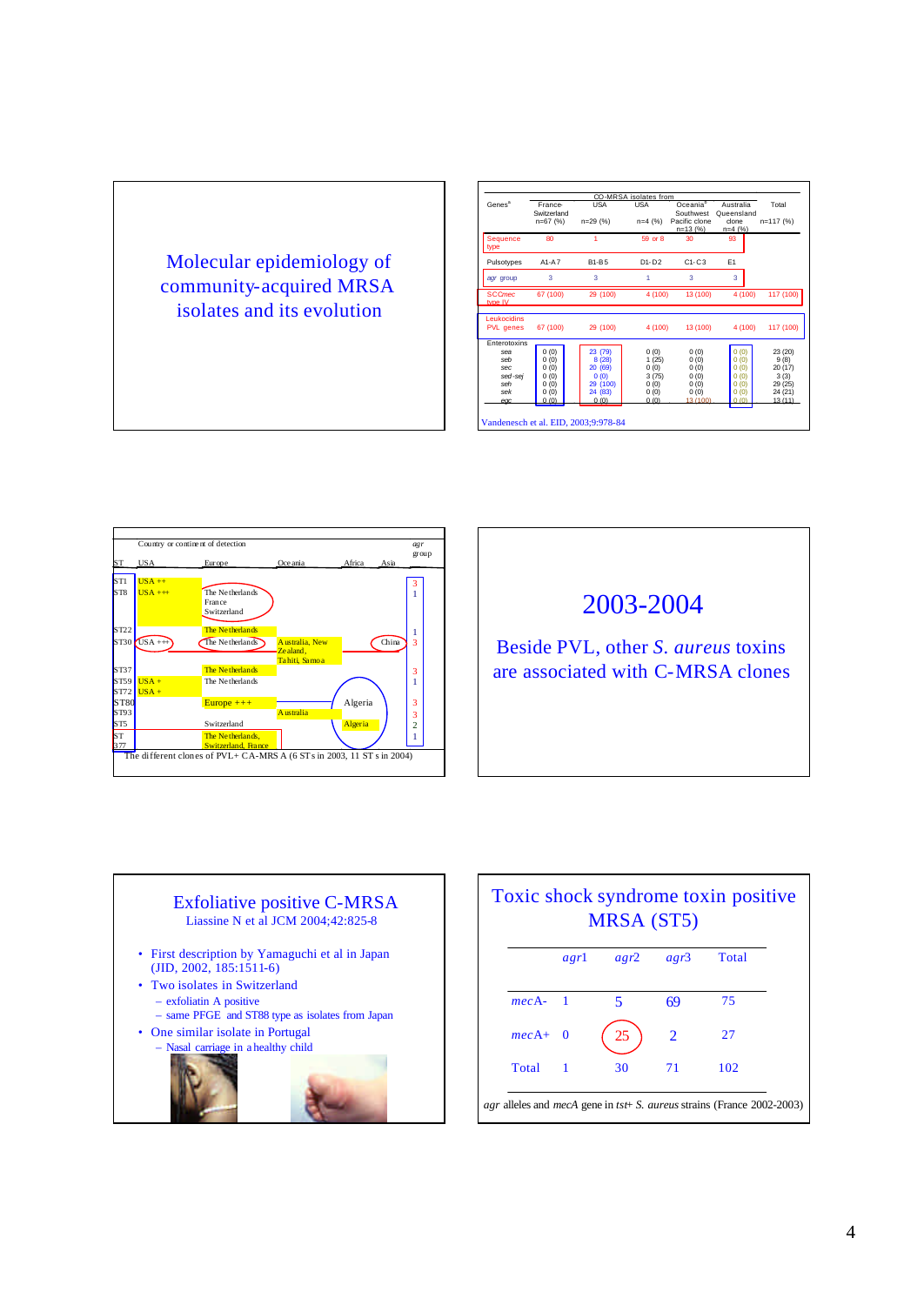

|                          | CO-MRSA isolates from     |                 |               |                                          |                |                 |
|--------------------------|---------------------------|-----------------|---------------|------------------------------------------|----------------|-----------------|
| Genes <sup>a</sup>       | France                    | <b>USA</b>      | <b>USA</b>    | Oceania <sup>b</sup>                     | Australia      | Total           |
|                          | Switzerland<br>$n=67$ (%) | n=29 (%)        |               | Southwest<br>Pacific clone<br>$n=13$ (%) | Queensland     | n=117 (%)       |
|                          |                           |                 | $n=4$ (%)     |                                          | clone          |                 |
|                          |                           |                 |               |                                          | $n=4$ (%)      |                 |
| Sequence<br>type         | 80                        |                 | 59 or 8       | 30                                       | 93             |                 |
| Pulsotypes               | $A1-A7$                   | <b>B1-B5</b>    | $D1 - D2$     | $C1-C3$                                  | E <sub>1</sub> |                 |
| agr group                | 3                         | 3               | 1             | $\overline{\mathbf{3}}$                  | 3              |                 |
| <b>SCCmec</b><br>type IV | 67 (100)                  | 29 (100)        | 4 (100)       | 13 (100)                                 | 4 (100)        | 117 (100)       |
| Leukocidins<br>PVL genes | 67 (100)                  | 29 (100)        | 4 (100)       | 13 (100)                                 | 4 (100)        | 117 (100)       |
| Enterotoxins             |                           |                 |               |                                          |                |                 |
| sea                      | 0(0)                      | 23 (79)         | 0(0)          | 0(0)                                     | 0(0)           | 23 (20)         |
| seh                      | 0(0)                      | 8 (28)          | 1(25)         | 0(0)                                     | 0(0)           | 9(8)            |
| sec<br>sed-sei           | 0(0)<br>0(0)              | 20 (69)<br>0(0) | 0(0)          | 0(0)                                     | 0(0)<br>0(0)   | 20 (17)         |
| seh                      | 0(0)                      | 29 (100)        | 3(75)<br>0(0) | 0(0)<br>0(0)                             | 0(0)           | 3(3)<br>29 (25) |
| sek                      | 0(0)                      | 24 (83)         | 0(0)          | 0(0)                                     | 0(0)           | 24 (21)         |
| $\alpha$                 | 0(0)                      | 0.(0)           | 0(0)          | 13 (100)                                 | 0(0)           | 13(11)          |



# 2003-2004

Beside PVL, other S. aureus toxins are associated with C-MRSA clones